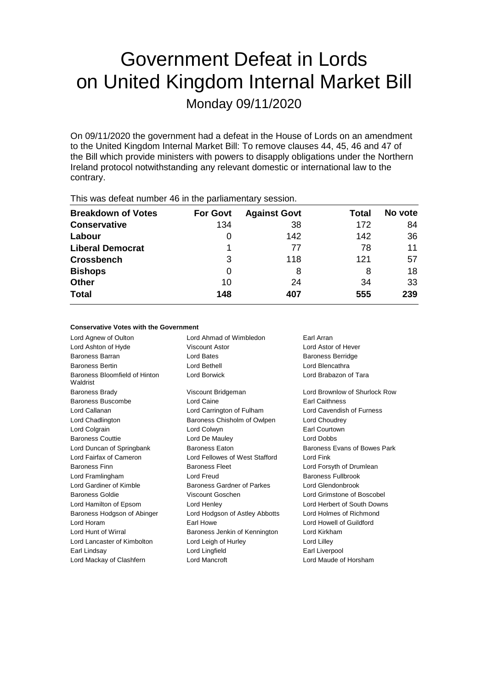# Government Defeat in Lords on United Kingdom Internal Market Bill

Monday 09/11/2020

On 09/11/2020 the government had a defeat in the House of Lords on an amendment to the United Kingdom Internal Market Bill: To remove clauses 44, 45, 46 and 47 of the Bill which provide ministers with powers to disapply obligations under the Northern Ireland protocol notwithstanding any relevant domestic or international law to the contrary.

| <b>THIS WAS ASSEMBLED TO IT WAS PAINTED THAT Y SUBSIDITI</b> |                 |                     |       |         |  |
|--------------------------------------------------------------|-----------------|---------------------|-------|---------|--|
| <b>Breakdown of Votes</b>                                    | <b>For Govt</b> | <b>Against Govt</b> | Total | No vote |  |
| <b>Conservative</b>                                          | 134             | 38                  | 172   | 84      |  |
| Labour                                                       | O               | 142                 | 142   | 36      |  |
| <b>Liberal Democrat</b>                                      | 1               | 77                  | 78    | 11      |  |
| <b>Crossbench</b>                                            | 3               | 118                 | 121   | 57      |  |
| <b>Bishops</b>                                               | 0               | 8                   | 8     | 18      |  |
| <b>Other</b>                                                 | 10              | 24                  | 34    | 33      |  |
| <b>Total</b>                                                 | 148             | 407                 | 555   | 239     |  |
|                                                              |                 |                     |       |         |  |

This was defeat number 46 in the parliamentary session.

#### **Conservative Votes with the Government**

| Lord Agnew of Oulton                      | Lord Ahmad of Wimbledon        | Earl Arran                    |
|-------------------------------------------|--------------------------------|-------------------------------|
| Lord Ashton of Hyde                       | Viscount Astor                 | Lord Astor of Hever           |
| <b>Baroness Barran</b>                    | Lord Bates                     | <b>Baroness Berridge</b>      |
| <b>Baroness Bertin</b>                    | Lord Bethell                   | Lord Blencathra               |
| Baroness Bloomfield of Hinton<br>Waldrist | Lord Borwick                   | Lord Brabazon of Tara         |
| <b>Baroness Brady</b>                     | Viscount Bridgeman             | Lord Brownlow of Shurlock Row |
| Baroness Buscombe                         | Lord Caine                     | <b>Earl Caithness</b>         |
| Lord Callanan                             | Lord Carrington of Fulham      | Lord Cavendish of Furness     |
| Lord Chadlington                          | Baroness Chisholm of Owlpen    | Lord Choudrey                 |
| Lord Colgrain                             | Lord Colwyn                    | <b>Earl Courtown</b>          |
| <b>Baroness Couttie</b>                   | Lord De Mauley                 | <b>Lord Dobbs</b>             |
| Lord Duncan of Springbank                 | <b>Baroness Eaton</b>          | Baroness Evans of Bowes Park  |
| Lord Fairfax of Cameron                   | Lord Fellowes of West Stafford | Lord Fink                     |
| <b>Baroness Finn</b>                      | <b>Baroness Fleet</b>          | Lord Forsyth of Drumlean      |
| Lord Framlingham                          | Lord Freud                     | <b>Baroness Fullbrook</b>     |
| Lord Gardiner of Kimble                   | Baroness Gardner of Parkes     | Lord Glendonbrook             |
| <b>Baroness Goldie</b>                    | Viscount Goschen               | Lord Grimstone of Boscobel    |
| Lord Hamilton of Epsom                    | Lord Henley                    | Lord Herbert of South Downs   |
| Baroness Hodgson of Abinger               | Lord Hodgson of Astley Abbotts | Lord Holmes of Richmond       |
| Lord Horam                                | Earl Howe                      | Lord Howell of Guildford      |
| Lord Hunt of Wirral                       | Baroness Jenkin of Kennington  | Lord Kirkham                  |
| Lord Lancaster of Kimbolton               | Lord Leigh of Hurley           | Lord Lilley                   |
| Earl Lindsay                              | Lord Lingfield                 | Earl Liverpool                |
| Lord Mackay of Clashfern                  | <b>Lord Mancroft</b>           | Lord Maude of Horsham         |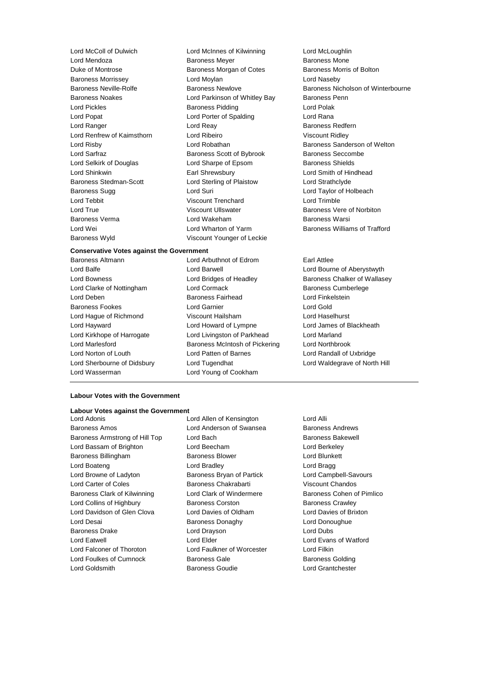Duke of Montrose Baroness Morgan of Cotes Baroness Morris of Bolton Baroness Morrissey **Lord Moylan** Lord Moylan **Lord Naseby** Baroness Noakes **Lord Parkinson of Whitley Bay** Baroness Penn Lord Pickles Baroness Pidding Lord Polak Lord Popat Lord Porter of Spalding Lord Rana Lord Ranger **Lord Reay Lord Reast Community** Baroness Redfern Lord Renfrew of Kaimsthorn Lord Ribeiro Viscount Ridley Lord Risby **Lord Robathan** Baroness Sanderson of Welton **Baroness** Sanderson of Welton Lord Sarfraz **Baroness Scott of Bybrook** Baroness Seccombe Lord Selkirk of Douglas **Lord Sharpe of Epsom** Baroness Shields Lord Shinkwin Earl Shrewsbury Lord Smith of Hindhead Baroness Stedman-Scott Lord Sterling of Plaistow Lord Strathclyde Baroness Sugg Lord Suri Lord Taylor of Holbeach Lord Tebbit Viscount Trenchard Lord Trimble Lord True **Communist Communist Communist Communist Communist Communist Communist Communist Communist Communist Communist Communist Communist Communist Communist Communist Communist Communist Communist Communist Communist C** Baroness Verma Lord Wakeham Baroness Warsi Lord Wei Lord Wharton of Yarm Baroness Williams of Trafford Baroness Wyld Viscount Younger of Leckie

Lord McColl of Dulwich Lord McInnes of Kilwinning Lord McLoughlin Baroness Meyer **Baroness Mone** 

#### **Conservative Votes against the Government**

Lord Wasserman Lord Young of Cookham

Baroness Altmann Lord Arbuthnot of Edrom Earl Attlee Lord Balfe Lord Barwell Lord Bourne of Aberystwyth Lord Bowness **Lord Bridges of Headley** Baroness Chalker of Wallasey Lord Clarke of Nottingham Lord Cormack Baroness Cumberlege Lord Deben Baroness Fairhead Lord Finkelstein Baroness Fookes Lord Garnier Lord Gold Lord Hague of Richmond Viscount Hailsham Lord Haselhurst Lord Hayward Lord Howard of Lympne Lord James of Blackheath Lord Kirkhope of Harrogate Lord Livingston of Parkhead Lord Marland Lord Marlesford **Baroness McIntosh of Pickering** Lord Northbrook Lord Norton of Louth Lord Patten of Barnes Lord Randall of Uxbridge Lord Sherbourne of Didsbury Lord Tugendhat Lord Waldegrave of North Hill

Baroness Neville-Rolfe **Baroness Newlove** Baroness Newlove **Baroness Nicholson of Winterbourne** 

#### **Labour Votes with the Government**

## **Labour Votes against the Government**<br>Lord Adonis

Baroness Amos Lord Anderson of Swansea Baroness Andrews Baroness Armstrong of Hill Top Lord Bach Baroness Bakewell Lord Bassam of Brighton Lord Beecham Lord Berkeley Baroness Billingham Baroness Blower Lord Blunkett Lord Boateng **Lord Bradley Lord Bradley Lord Bragg** Lord Browne of Ladyton **Baroness Bryan of Partick** Lord Campbell-Savours Lord Carter of Coles Baroness Chakrabarti Viscount Chandos Baroness Clark of Kilwinning Lord Clark of Windermere Baroness Cohen of Pimlico Lord Collins of Highbury **Baroness Corston** Baroness Corston **Baroness Crawley** Lord Davidson of Glen Clova Lord Davies of Oldham Lord Davies of Brixton Lord Desai **Baroness Donaghy** Lord Donoughue Baroness Drake Lord Drayson Lord Dubs Lord Eatwell Lord Elder Lord Evans of Watford Lord Falconer of Thoroton Lord Faulkner of Worcester Lord Filkin Lord Foulkes of Cumnock Baroness Gale Baroness Gale Baroness Golding Lord Goldsmith Baroness Goudie Lord Grantchester

Lord Allen of Kensington Lord Alli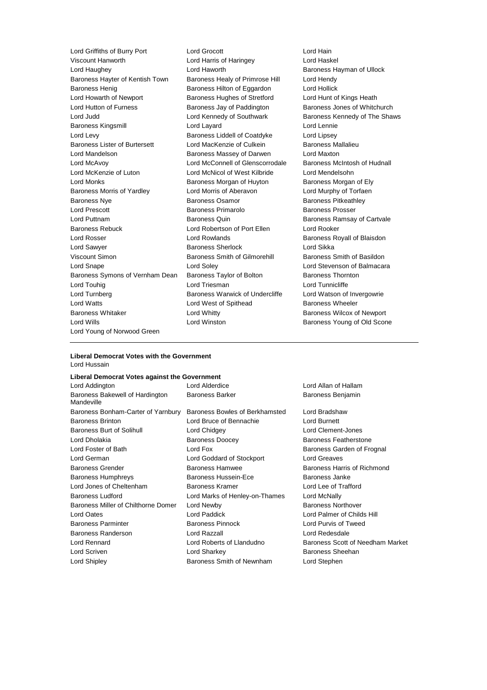Lord Griffiths of Burry Port Lord Grocott Lord Hain Viscount Hanworth Lord Harris of Haringey Lord Haughey Lord Haworth Baroness Hayman of Ullock Baroness Hayter of Kentish Town Baroness Healy of Primrose Hill Lord Hendy Baroness Henig **Baroness Hilton of Eggardon** Lord Hollick Lord Howarth of Newport **Baroness Hughes of Stretford** Lord Hunt of Kings Heath Lord Hutton of Furness **Baroness Jay of Paddington** Baroness Jones of Whitchurch Lord Judd **Lord Kennedy of Southwark** Baroness Kennedy of The Shaws Baroness Kingsmill Lord Layard Lord Lennie Lord Levy Baroness Liddell of Coatdyke Lord Lipsey Baroness Lister of Burtersett Lord MacKenzie of Culkein Baroness Mallalieu Lord Mandelson **Baroness Massey of Darwen** Lord Maxton Lord McAvoy Lord McConnell of Glenscorrodale Baroness McIntosh of Hudnall Lord McKenzie of Luton Lord McNicol of West Kilbride Lord Mendelsohn Lord Monks Baroness Morgan of Huyton Baroness Morgan of Ely Baroness Morris of Yardley Lord Morris of Aberavon Lord Murphy of Torfaen Baroness Nye **Baroness Osamor** Baroness Osamor **Baroness** Pitkeathley Lord Prescott Baroness Primarolo Baroness Prosser Lord Puttnam Baroness Quin Baroness Ramsay of Cartvale Baroness Rebuck Lord Robertson of Port Ellen Lord Rooker Lord Rosser **Lord Rowlands Baroness Royall of Blaisdon** Lord Sawyer **Baroness Sherlock** Lord Sikka Viscount Simon **Baroness Smith of Gilmorehill** Baroness Smith of Basildon Lord Snape Lord Soley Lord Stevenson of Balmacara Baroness Symons of Vernham Dean Baroness Taylor of Bolton Baroness Thornton Lord Touhig Lord Triesman Lord Tunnicliffe Lord Turnberg **Baroness Warwick of Undercliffe** Lord Watson of Invergowrie Lord Watts **Lord West of Spithead** Baroness Wheeler Baroness Whitaker **Lord Whitty Lord Whitty** Baroness Wilcox of Newport Lord Wills **Lord Winston Baroness Young of Old Scone** Lord Young of Norwood Green

#### **Liberal Democrat Votes with the Government** Lord Hussain

#### **Liberal Democrat Votes against the Government**

| Lord Addington                                | Lord Alderdice                 | Lord Allan of Hallam             |
|-----------------------------------------------|--------------------------------|----------------------------------|
| Baroness Bakewell of Hardington<br>Mandeville | <b>Baroness Barker</b>         | Baroness Benjamin                |
| Baroness Bonham-Carter of Yarnbury            | Baroness Bowles of Berkhamsted | Lord Bradshaw                    |
| <b>Baroness Brinton</b>                       | Lord Bruce of Bennachie        | Lord Burnett                     |
| Baroness Burt of Solihull                     | Lord Chidgey                   | Lord Clement-Jones               |
| Lord Dholakia                                 | <b>Baroness Doocey</b>         | <b>Baroness Featherstone</b>     |
| Lord Foster of Bath                           | Lord Fox                       | Baroness Garden of Frognal       |
| Lord German                                   | Lord Goddard of Stockport      | <b>Lord Greaves</b>              |
| <b>Baroness Grender</b>                       | <b>Baroness Hamwee</b>         | Baroness Harris of Richmond      |
| <b>Baroness Humphreys</b>                     | Baroness Hussein-Ece           | Baroness Janke                   |
| Lord Jones of Cheltenham                      | <b>Baroness Kramer</b>         | Lord Lee of Trafford             |
| <b>Baroness Ludford</b>                       | Lord Marks of Henley-on-Thames | Lord McNally                     |
| Baroness Miller of Chilthorne Domer           | Lord Newby                     | <b>Baroness Northover</b>        |
| Lord Oates                                    | Lord Paddick                   | Lord Palmer of Childs Hill       |
| <b>Baroness Parminter</b>                     | <b>Baroness Pinnock</b>        | Lord Purvis of Tweed             |
| Baroness Randerson                            | Lord Razzall                   | Lord Redesdale                   |
| Lord Rennard                                  | Lord Roberts of Llandudno      | Baroness Scott of Needham Market |
| Lord Scriven                                  | Lord Sharkey                   | Baroness Sheehan                 |
| Lord Shipley                                  | Baroness Smith of Newnham      | Lord Stephen                     |
|                                               |                                |                                  |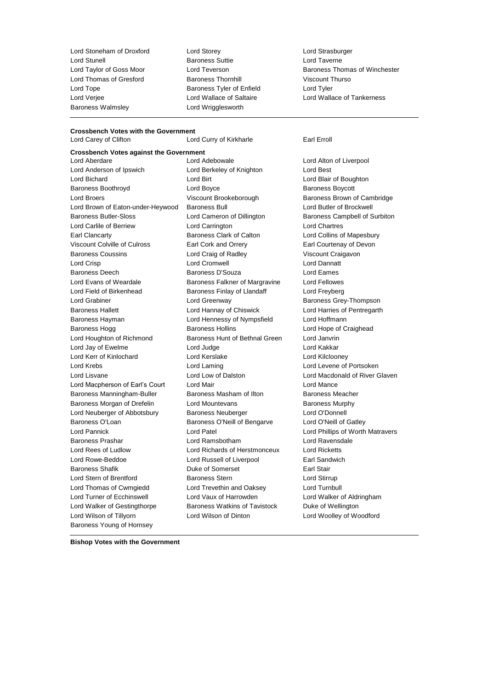Lord Stunell Baroness Suttie Lord Taverne Lord Thomas of Gresford **Baroness Thornhill** Viscount Thurso Lord Tope **Baroness Tyler of Enfield** Lord Tyler Lord Verjee Lord Wallace of Saltaire Lord Wallace of Tankerness Baroness Walmsley Lord Wrigglesworth

Lord Stoneham of Droxford Lord Storey Lord Strasburger

#### **Crossbench Votes with the Government** Lord Carey of Clifton **Lord Curry of Kirkharle** Earl Erroll

**Crossbench Votes against the Government** Lord Aberdare Lord Adebowale Lord Alton of Liverpool Lord Anderson of Ipswich Lord Berkeley of Knighton Lord Best Lord Bichard Lord Birt Lord Blair of Boughton Baroness Boothroyd **Example 20** Lord Boyce **Baroness Boycott** Baroness Boycott Lord Broers **Example 2** Viscount Brookeborough Baroness Brown of Cambridge Lord Brown of Eaton-under-Heywood Baroness Bull Lord Butler of Brockwell Baroness Butler-Sloss Lord Cameron of Dillington Baroness Campbell of Surbiton Lord Carlile of Berriew Lord Carrington Lord Chartres Earl Clancarty Baroness Clark of Calton Lord Collins of Mapesbury Viscount Colville of Culross Earl Cork and Orrery Earl Courtenay of Devon Baroness Coussins Lord Craig of Radley Viscount Craigavon Lord Crisp Lord Cromwell Lord Dannatt Baroness Deech Baroness D'Souza Lord Eames Lord Evans of Weardale **Baroness Falkner of Margravine** Lord Fellowes Lord Field of Birkenhead **Baroness Finlay of Llandaff** Lord Freyberg Lord Grabiner Lord Greenway Baroness Grey-Thompson Baroness Hallett **Lord Hannay of Chiswick** Lord Harries of Pentregarth Baroness Hayman Lord Hennessy of Nympsfield Lord Hoffmann Baroness Hogg **Baroness Hollins** Baroness Hollins **Lord Hope of Craighead** Lord Houghton of Richmond Baroness Hunt of Bethnal Green Lord Janvrin Lord Jay of Ewelme Lord Judge Lord Kakkar Lord Kerr of Kinlochard Lord Kerslake Lord Kilclooney Lord Krebs Lord Laming Lord Levene of Portsoken Lord Lisvane Lord Low of Dalston Lord Macdonald of River Glaven Lord Macpherson of Earl's Court Lord Mair Lord Mance Baroness Manningham-Buller Baroness Masham of Ilton Baroness Meacher Baroness Morgan of Drefelin Lord Mountevans Contact Murphy Lord Neuberger of Abbotsbury Baroness Neuberger Lord O'Donnell Baroness O'Loan Baroness O'Neill of Bengarve Lord O'Neill of Gatley Lord Pannick Lord Patel Lord Phillips of Worth Matravers Baroness Prashar Lord Ramsbotham Lord Ravensdale Lord Rees of Ludlow Lord Richards of Herstmonceux Lord Ricketts Lord Rowe-Beddoe Lord Russell of Liverpool Earl Sandwich Baroness Shafik **Duke of Somerset** Earl Stair Lord Stern of Brentford Baroness Stern Lord Stirrup Lord Thomas of Cwmgiedd Lord Trevethin and Oaksey Lord Turnbull Lord Turner of Ecchinswell Lord Vaux of Harrowden Lord Walker of Aldringham Lord Walker of Gestingthorpe Baroness Watkins of Tavistock Duke of Wellington Lord Wilson of Tillyorn Lord Wilson of Dinton Lord Woolley of Woodford Baroness Young of Hornsey

Lord Taylor of Goss Moor Lord Teverson Baroness Thomas of Winchester

**Bishop Votes with the Government**